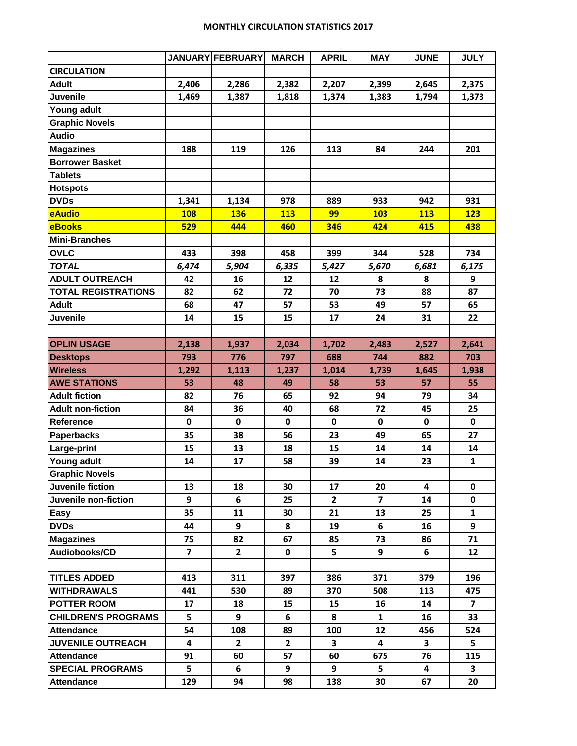## **MONTHLY CIRCULATION STATISTICS 2017**

|                            |                         | JANUARY FEBRUARY | <b>MARCH</b> | <b>APRIL</b> | <b>MAY</b>   | <b>JUNE</b>             | <b>JULY</b>    |
|----------------------------|-------------------------|------------------|--------------|--------------|--------------|-------------------------|----------------|
| <b>CIRCULATION</b>         |                         |                  |              |              |              |                         |                |
| <b>Adult</b>               | 2,406                   | 2,286            | 2,382        | 2,207        | 2,399        | 2,645                   | 2,375          |
| <b>Juvenile</b>            | 1,469                   | 1,387            | 1,818        | 1,374        | 1,383        | 1,794                   | 1,373          |
| Young adult                |                         |                  |              |              |              |                         |                |
| <b>Graphic Novels</b>      |                         |                  |              |              |              |                         |                |
| <b>Audio</b>               |                         |                  |              |              |              |                         |                |
| <b>Magazines</b>           | 188                     | 119              | 126          | 113          | 84           | 244                     | 201            |
| <b>Borrower Basket</b>     |                         |                  |              |              |              |                         |                |
| <b>Tablets</b>             |                         |                  |              |              |              |                         |                |
| <b>Hotspots</b>            |                         |                  |              |              |              |                         |                |
| <b>DVDs</b>                | 1,341                   | 1,134            | 978          | 889          | 933          | 942                     | 931            |
| eAudio                     | <b>108</b>              | <b>136</b>       | 113          | 99           | 103          | 113                     | 123            |
| <b>eBooks</b>              | 529                     | 444              | 460          | 346          | 424          | 415                     | 438            |
| <b>Mini-Branches</b>       |                         |                  |              |              |              |                         |                |
| <b>OVLC</b>                | 433                     | 398              | 458          | 399          | 344          | 528                     | 734            |
| <b>TOTAL</b>               | 6,474                   | 5,904            | 6,335        | 5,427        | 5,670        | 6,681                   | 6,175          |
| <b>ADULT OUTREACH</b>      | 42                      | 16               | 12           | 12           | 8            | 8                       | 9              |
| <b>TOTAL REGISTRATIONS</b> | 82                      | 62               | 72           | 70           | 73           | 88                      | 87             |
| <b>Adult</b>               | 68                      | 47               | 57           | 53           | 49           | 57                      | 65             |
| <b>Juvenile</b>            | 14                      | 15               | 15           | 17           | 24           | 31                      | 22             |
|                            |                         |                  |              |              |              |                         |                |
| <b>OPLIN USAGE</b>         | 2,138                   | 1,937            | 2,034        | 1,702        | 2,483        | 2,527                   | 2,641          |
| <b>Desktops</b>            | 793                     | 776              | 797          | 688          | 744          | 882                     | 703            |
| <b>Wireless</b>            | 1,292                   | 1,113            | 1,237        | 1,014        | 1,739        | 1,645                   | 1,938          |
| <b>AWE STATIONS</b>        | 53                      | 48               | 49           | 58           | 53           | 57                      | 55             |
| <b>Adult fiction</b>       | 82                      | 76               | 65           | 92           | 94           | 79                      | 34             |
| <b>Adult non-fiction</b>   | 84                      | 36               | 40           | 68           | 72           | 45                      | 25             |
| <b>Reference</b>           | 0                       | 0                | 0            | 0            | 0            | 0                       | 0              |
| <b>Paperbacks</b>          | 35                      | 38               | 56           | 23           | 49           | 65                      | 27             |
| Large-print                | 15                      | 13               | 18           | 15           | 14           | 14                      | 14             |
| Young adult                | 14                      | 17               | 58           | 39           | 14           | 23                      | $\mathbf{1}$   |
| <b>Graphic Novels</b>      |                         |                  |              |              |              |                         |                |
| Juvenile fiction           | 13                      | 18               | 30           | 17           | 20           | $\overline{\mathbf{4}}$ | 0              |
| Juvenile non-fiction       | 9                       | 6                | 25           | $\mathbf{2}$ | 7            | 14                      | 0              |
| Easy                       | 35                      | 11               | 30           | 21           | 13           | 25                      | $\mathbf{1}$   |
| <b>DVDs</b>                | 44                      | 9                | 8            | 19           | 6            | 16                      | 9              |
| <b>Magazines</b>           | 75                      | 82               | 67           | 85           | 73           | 86                      | 71             |
| Audiobooks/CD              | $\overline{\mathbf{z}}$ | $\mathbf{2}$     | 0            | 5            | 9            | 6                       | 12             |
|                            |                         |                  |              |              |              |                         |                |
| <b>TITLES ADDED</b>        | 413                     | 311              | 397          | 386          | 371          | 379                     | 196            |
| <b>WITHDRAWALS</b>         | 441                     | 530              | 89           | 370          | 508          | 113                     | 475            |
| <b>POTTER ROOM</b>         | 17                      | 18               | 15           | 15           | 16           | 14                      | $\overline{7}$ |
| <b>CHILDREN'S PROGRAMS</b> | 5                       | 9                | 6            | 8            | $\mathbf{1}$ | 16                      | 33             |
| <b>Attendance</b>          | 54                      | 108              | 89           | 100          | 12           | 456                     | 524            |
| <b>JUVENILE OUTREACH</b>   | 4                       | $\mathbf{2}$     | $\mathbf{2}$ | 3            | 4            | $\mathbf{3}$            | 5              |
| <b>Attendance</b>          | 91                      | 60               | 57           | 60           | 675          | 76                      | 115            |
| <b>SPECIAL PROGRAMS</b>    | 5                       | 6                | 9            | 9            | 5            | 4                       | 3              |
| <b>Attendance</b>          | 129                     | 94               | 98           | 138          | 30           | 67                      | 20             |